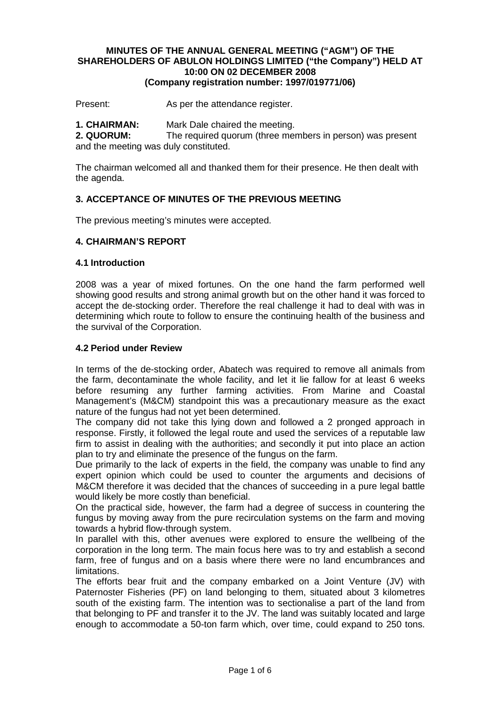#### **MINUTES OF THE ANNUAL GENERAL MEETING ("AGM") OF THE SHAREHOLDERS OF ABULON HOLDINGS LIMITED ("the Company") HELD AT 10:00 ON 02 DECEMBER 2008 (Company registration number: 1997/019771/06)**

Present: As per the attendance register.

**1. CHAIRMAN:** Mark Dale chaired the meeting.

**2. QUORUM:** The required quorum (three members in person) was present and the meeting was duly constituted.

The chairman welcomed all and thanked them for their presence. He then dealt with the agenda.

#### **3. ACCEPTANCE OF MINUTES OF THE PREVIOUS MEETING**

The previous meeting's minutes were accepted.

#### **4. CHAIRMAN'S REPORT**

#### **4.1 Introduction**

2008 was a year of mixed fortunes. On the one hand the farm performed well showing good results and strong animal growth but on the other hand it was forced to accept the de-stocking order. Therefore the real challenge it had to deal with was in determining which route to follow to ensure the continuing health of the business and the survival of the Corporation.

#### **4.2 Period under Review**

In terms of the de-stocking order, Abatech was required to remove all animals from the farm, decontaminate the whole facility, and let it lie fallow for at least 6 weeks before resuming any further farming activities. From Marine and Coastal Management's (M&CM) standpoint this was a precautionary measure as the exact nature of the fungus had not yet been determined.

The company did not take this lying down and followed a 2 pronged approach in response. Firstly, it followed the legal route and used the services of a reputable law firm to assist in dealing with the authorities; and secondly it put into place an action plan to try and eliminate the presence of the fungus on the farm.

Due primarily to the lack of experts in the field, the company was unable to find any expert opinion which could be used to counter the arguments and decisions of M&CM therefore it was decided that the chances of succeeding in a pure legal battle would likely be more costly than beneficial.

On the practical side, however, the farm had a degree of success in countering the fungus by moving away from the pure recirculation systems on the farm and moving towards a hybrid flow-through system.

In parallel with this, other avenues were explored to ensure the wellbeing of the corporation in the long term. The main focus here was to try and establish a second farm, free of fungus and on a basis where there were no land encumbrances and limitations.

The efforts bear fruit and the company embarked on a Joint Venture (JV) with Paternoster Fisheries (PF) on land belonging to them, situated about 3 kilometres south of the existing farm. The intention was to sectionalise a part of the land from that belonging to PF and transfer it to the JV. The land was suitably located and large enough to accommodate a 50-ton farm which, over time, could expand to 250 tons.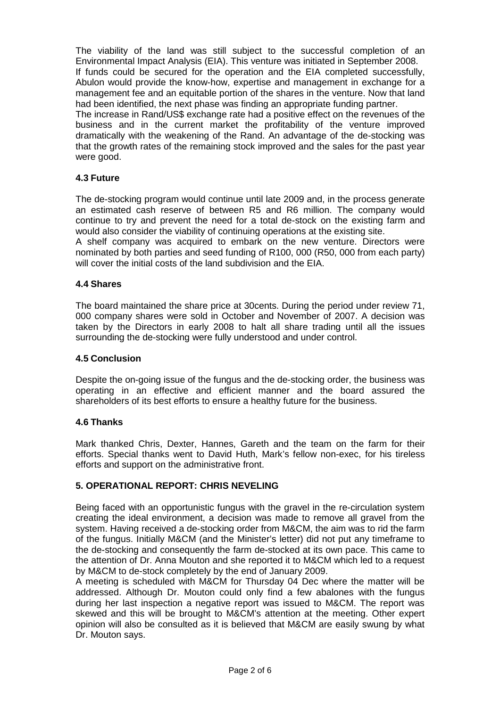The viability of the land was still subject to the successful completion of an Environmental Impact Analysis (EIA). This venture was initiated in September 2008. If funds could be secured for the operation and the EIA completed successfully, Abulon would provide the know-how, expertise and management in exchange for a management fee and an equitable portion of the shares in the venture. Now that land had been identified, the next phase was finding an appropriate funding partner.

The increase in Rand/US\$ exchange rate had a positive effect on the revenues of the business and in the current market the profitability of the venture improved dramatically with the weakening of the Rand. An advantage of the de-stocking was that the growth rates of the remaining stock improved and the sales for the past year were good.

# **4.3 Future**

The de-stocking program would continue until late 2009 and, in the process generate an estimated cash reserve of between R5 and R6 million. The company would continue to try and prevent the need for a total de-stock on the existing farm and would also consider the viability of continuing operations at the existing site.

A shelf company was acquired to embark on the new venture. Directors were nominated by both parties and seed funding of R100, 000 (R50, 000 from each party) will cover the initial costs of the land subdivision and the EIA.

# **4.4 Shares**

The board maintained the share price at 30cents. During the period under review 71, 000 company shares were sold in October and November of 2007. A decision was taken by the Directors in early 2008 to halt all share trading until all the issues surrounding the de-stocking were fully understood and under control.

# **4.5 Conclusion**

Despite the on-going issue of the fungus and the de-stocking order, the business was operating in an effective and efficient manner and the board assured the shareholders of its best efforts to ensure a healthy future for the business.

# **4.6 Thanks**

Mark thanked Chris, Dexter, Hannes, Gareth and the team on the farm for their efforts. Special thanks went to David Huth, Mark's fellow non-exec, for his tireless efforts and support on the administrative front.

# **5. OPERATIONAL REPORT: CHRIS NEVELING**

Being faced with an opportunistic fungus with the gravel in the re-circulation system creating the ideal environment, a decision was made to remove all gravel from the system. Having received a de-stocking order from M&CM, the aim was to rid the farm of the fungus. Initially M&CM (and the Minister's letter) did not put any timeframe to the de-stocking and consequently the farm de-stocked at its own pace. This came to the attention of Dr. Anna Mouton and she reported it to M&CM which led to a request by M&CM to de-stock completely by the end of January 2009.

A meeting is scheduled with M&CM for Thursday 04 Dec where the matter will be addressed. Although Dr. Mouton could only find a few abalones with the fungus during her last inspection a negative report was issued to M&CM. The report was skewed and this will be brought to M&CM's attention at the meeting. Other expert opinion will also be consulted as it is believed that M&CM are easily swung by what Dr. Mouton says.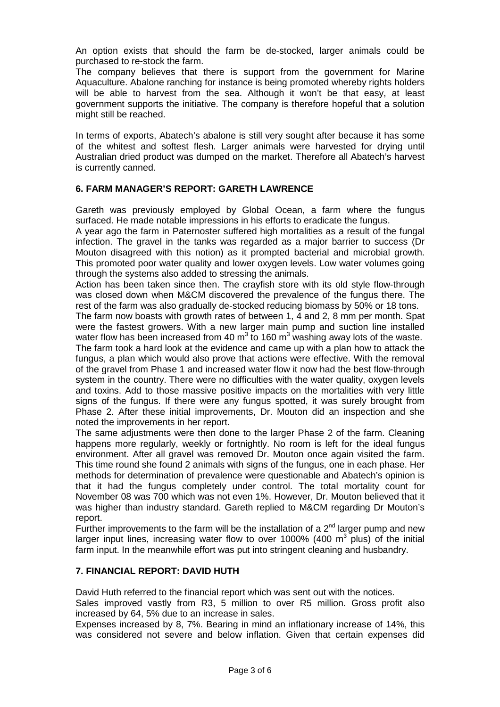An option exists that should the farm be de-stocked, larger animals could be purchased to re-stock the farm.

The company believes that there is support from the government for Marine Aquaculture. Abalone ranching for instance is being promoted whereby rights holders will be able to harvest from the sea. Although it won't be that easy, at least government supports the initiative. The company is therefore hopeful that a solution might still be reached.

In terms of exports, Abatech's abalone is still very sought after because it has some of the whitest and softest flesh. Larger animals were harvested for drying until Australian dried product was dumped on the market. Therefore all Abatech's harvest is currently canned.

# **6. FARM MANAGER'S REPORT: GARETH LAWRENCE**

Gareth was previously employed by Global Ocean, a farm where the fungus surfaced. He made notable impressions in his efforts to eradicate the fungus.

A year ago the farm in Paternoster suffered high mortalities as a result of the fungal infection. The gravel in the tanks was regarded as a major barrier to success (Dr Mouton disagreed with this notion) as it prompted bacterial and microbial growth. This promoted poor water quality and lower oxygen levels. Low water volumes going through the systems also added to stressing the animals.

Action has been taken since then. The crayfish store with its old style flow-through was closed down when M&CM discovered the prevalence of the fungus there. The rest of the farm was also gradually de-stocked reducing biomass by 50% or 18 tons.

The farm now boasts with growth rates of between 1, 4 and 2, 8 mm per month. Spat were the fastest growers. With a new larger main pump and suction line installed water flow has been increased from 40 m<sup>3</sup> to 160 m<sup>3</sup> washing away lots of the waste. The farm took a hard look at the evidence and came up with a plan how to attack the fungus, a plan which would also prove that actions were effective. With the removal of the gravel from Phase 1 and increased water flow it now had the best flow-through system in the country. There were no difficulties with the water quality, oxygen levels and toxins. Add to those massive positive impacts on the mortalities with very little signs of the fungus. If there were any fungus spotted, it was surely brought from Phase 2. After these initial improvements, Dr. Mouton did an inspection and she noted the improvements in her report.

The same adjustments were then done to the larger Phase 2 of the farm. Cleaning happens more regularly, weekly or fortnightly. No room is left for the ideal fungus environment. After all gravel was removed Dr. Mouton once again visited the farm. This time round she found 2 animals with signs of the fungus, one in each phase. Her methods for determination of prevalence were questionable and Abatech's opinion is that it had the fungus completely under control. The total mortality count for November 08 was 700 which was not even 1%. However, Dr. Mouton believed that it was higher than industry standard. Gareth replied to M&CM regarding Dr Mouton's report.

Further improvements to the farm will be the installation of a  $2^{nd}$  larger pump and new larger input lines, increasing water flow to over 1000% (400  $\text{m}^3$  plus) of the initial farm input. In the meanwhile effort was put into stringent cleaning and husbandry.

# **7. FINANCIAL REPORT: DAVID HUTH**

David Huth referred to the financial report which was sent out with the notices.

Sales improved vastly from R3, 5 million to over R5 million. Gross profit also increased by 64, 5% due to an increase in sales.

Expenses increased by 8, 7%. Bearing in mind an inflationary increase of 14%, this was considered not severe and below inflation. Given that certain expenses did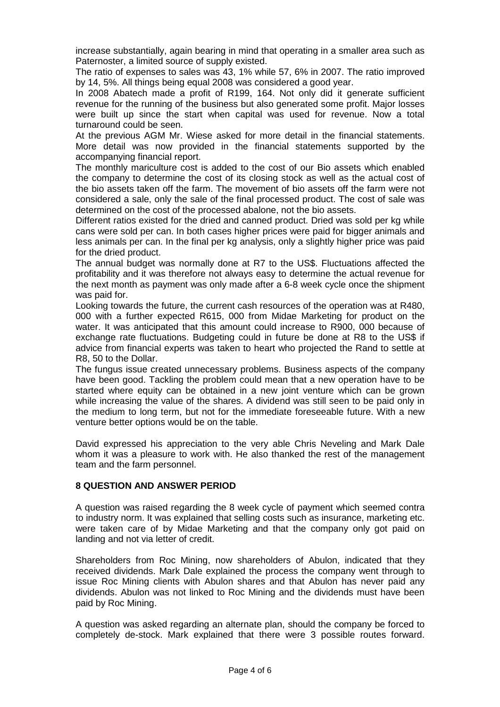increase substantially, again bearing in mind that operating in a smaller area such as Paternoster, a limited source of supply existed.

The ratio of expenses to sales was 43, 1% while 57, 6% in 2007. The ratio improved by 14, 5%. All things being equal 2008 was considered a good year.

In 2008 Abatech made a profit of R199, 164. Not only did it generate sufficient revenue for the running of the business but also generated some profit. Major losses were built up since the start when capital was used for revenue. Now a total turnaround could be seen.

At the previous AGM Mr. Wiese asked for more detail in the financial statements. More detail was now provided in the financial statements supported by the accompanying financial report.

The monthly mariculture cost is added to the cost of our Bio assets which enabled the company to determine the cost of its closing stock as well as the actual cost of the bio assets taken off the farm. The movement of bio assets off the farm were not considered a sale, only the sale of the final processed product. The cost of sale was determined on the cost of the processed abalone, not the bio assets.

Different ratios existed for the dried and canned product. Dried was sold per kg while cans were sold per can. In both cases higher prices were paid for bigger animals and less animals per can. In the final per kg analysis, only a slightly higher price was paid for the dried product.

The annual budget was normally done at R7 to the US\$. Fluctuations affected the profitability and it was therefore not always easy to determine the actual revenue for the next month as payment was only made after a 6-8 week cycle once the shipment was paid for.

Looking towards the future, the current cash resources of the operation was at R480, 000 with a further expected R615, 000 from Midae Marketing for product on the water. It was anticipated that this amount could increase to R900, 000 because of exchange rate fluctuations. Budgeting could in future be done at R8 to the US\$ if advice from financial experts was taken to heart who projected the Rand to settle at R8, 50 to the Dollar.

The fungus issue created unnecessary problems. Business aspects of the company have been good. Tackling the problem could mean that a new operation have to be started where equity can be obtained in a new joint venture which can be grown while increasing the value of the shares. A dividend was still seen to be paid only in the medium to long term, but not for the immediate foreseeable future. With a new venture better options would be on the table.

David expressed his appreciation to the very able Chris Neveling and Mark Dale whom it was a pleasure to work with. He also thanked the rest of the management team and the farm personnel.

#### **8 QUESTION AND ANSWER PERIOD**

A question was raised regarding the 8 week cycle of payment which seemed contra to industry norm. It was explained that selling costs such as insurance, marketing etc. were taken care of by Midae Marketing and that the company only got paid on landing and not via letter of credit.

Shareholders from Roc Mining, now shareholders of Abulon, indicated that they received dividends. Mark Dale explained the process the company went through to issue Roc Mining clients with Abulon shares and that Abulon has never paid any dividends. Abulon was not linked to Roc Mining and the dividends must have been paid by Roc Mining.

A question was asked regarding an alternate plan, should the company be forced to completely de-stock. Mark explained that there were 3 possible routes forward.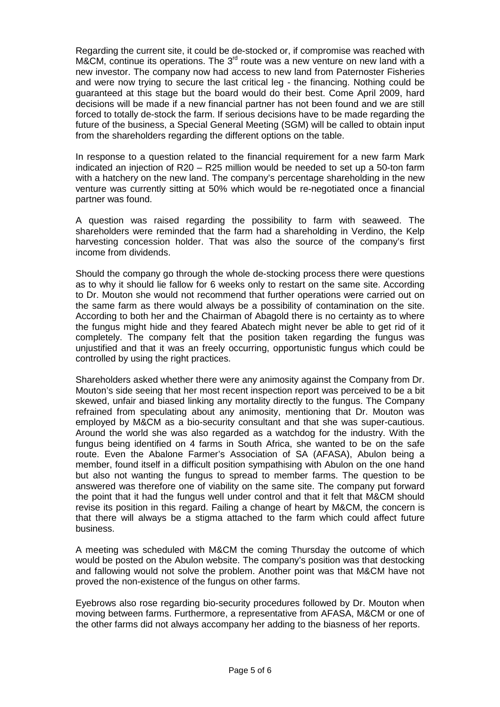Regarding the current site, it could be de-stocked or, if compromise was reached with  $M\&CM$ , continue its operations. The 3<sup>rd</sup> route was a new venture on new land with a new investor. The company now had access to new land from Paternoster Fisheries and were now trying to secure the last critical leg - the financing. Nothing could be guaranteed at this stage but the board would do their best. Come April 2009, hard decisions will be made if a new financial partner has not been found and we are still forced to totally de-stock the farm. If serious decisions have to be made regarding the future of the business, a Special General Meeting (SGM) will be called to obtain input from the shareholders regarding the different options on the table.

In response to a question related to the financial requirement for a new farm Mark indicated an injection of R20 – R25 million would be needed to set up a 50-ton farm with a hatchery on the new land. The company's percentage shareholding in the new venture was currently sitting at 50% which would be re-negotiated once a financial partner was found.

A question was raised regarding the possibility to farm with seaweed. The shareholders were reminded that the farm had a shareholding in Verdino, the Kelp harvesting concession holder. That was also the source of the company's first income from dividends.

Should the company go through the whole de-stocking process there were questions as to why it should lie fallow for 6 weeks only to restart on the same site. According to Dr. Mouton she would not recommend that further operations were carried out on the same farm as there would always be a possibility of contamination on the site. According to both her and the Chairman of Abagold there is no certainty as to where the fungus might hide and they feared Abatech might never be able to get rid of it completely. The company felt that the position taken regarding the fungus was unjustified and that it was an freely occurring, opportunistic fungus which could be controlled by using the right practices.

Shareholders asked whether there were any animosity against the Company from Dr. Mouton's side seeing that her most recent inspection report was perceived to be a bit skewed, unfair and biased linking any mortality directly to the fungus. The Company refrained from speculating about any animosity, mentioning that Dr. Mouton was employed by M&CM as a bio-security consultant and that she was super-cautious. Around the world she was also regarded as a watchdog for the industry. With the fungus being identified on 4 farms in South Africa, she wanted to be on the safe route. Even the Abalone Farmer's Association of SA (AFASA), Abulon being a member, found itself in a difficult position sympathising with Abulon on the one hand but also not wanting the fungus to spread to member farms. The question to be answered was therefore one of viability on the same site. The company put forward the point that it had the fungus well under control and that it felt that M&CM should revise its position in this regard. Failing a change of heart by M&CM, the concern is that there will always be a stigma attached to the farm which could affect future business.

A meeting was scheduled with M&CM the coming Thursday the outcome of which would be posted on the Abulon website. The company's position was that destocking and fallowing would not solve the problem. Another point was that M&CM have not proved the non-existence of the fungus on other farms.

Eyebrows also rose regarding bio-security procedures followed by Dr. Mouton when moving between farms. Furthermore, a representative from AFASA, M&CM or one of the other farms did not always accompany her adding to the biasness of her reports.